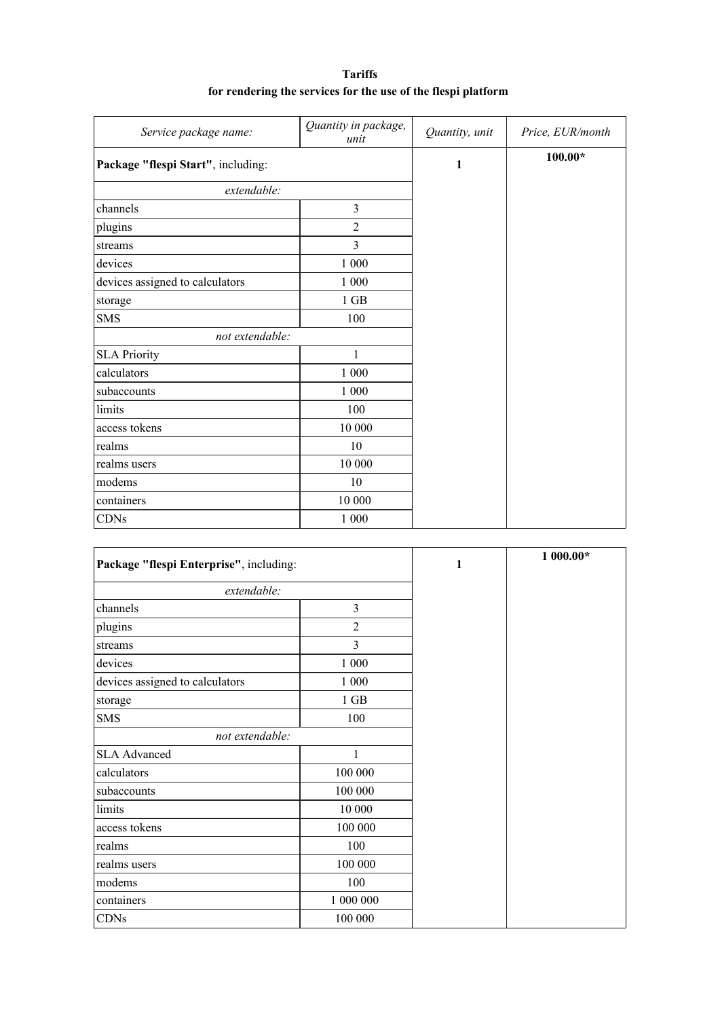| <b>Tariffs</b>                                                |
|---------------------------------------------------------------|
| for rendering the services for the use of the flespi platform |

| Service package name:              | Quantity in package,<br>unit | Quantity, unit | Price, EUR/month |
|------------------------------------|------------------------------|----------------|------------------|
| Package "flespi Start", including: |                              | $\mathbf{1}$   | $100.00*$        |
| extendable:                        |                              |                |                  |
| channels                           | $\overline{3}$               |                |                  |
| plugins                            | $\overline{2}$               |                |                  |
| streams                            | 3                            |                |                  |
| devices                            | 1 000                        |                |                  |
| devices assigned to calculators    | 1 0 0 0                      |                |                  |
| storage                            | $1$ GB                       |                |                  |
| <b>SMS</b>                         | 100                          |                |                  |
| not extendable:                    |                              |                |                  |
| <b>SLA Priority</b>                | 1                            |                |                  |
| calculators                        | 1 000                        |                |                  |
| subaccounts                        | 1 000                        |                |                  |
| limits                             | 100                          |                |                  |
| access tokens                      | 10 000                       |                |                  |
| realms                             | 10                           |                |                  |
| realms users                       | 10 000                       |                |                  |
| modems                             | 10                           |                |                  |
| containers                         | 10 000                       |                |                  |
| <b>CDNs</b>                        | $1\ 000$                     |                |                  |

| Package "flespi Enterprise", including: |                | 1 | $1000.00*$ |
|-----------------------------------------|----------------|---|------------|
| extendable:                             |                |   |            |
| channels                                | 3              |   |            |
| plugins                                 | $\mathfrak{2}$ |   |            |
| streams                                 | $\overline{3}$ |   |            |
| devices                                 | 1 000          |   |            |
| devices assigned to calculators         | 1 000          |   |            |
| storage                                 | $1$ GB         |   |            |
| <b>SMS</b>                              | 100            |   |            |
| not extendable:                         |                |   |            |
| <b>SLA Advanced</b>                     | 1              |   |            |
| calculators                             | 100 000        |   |            |
| subaccounts                             | 100 000        |   |            |
| limits                                  | 10 000         |   |            |
| access tokens                           | 100 000        |   |            |
| realms                                  | 100            |   |            |
| realms users                            | 100 000        |   |            |
| modems                                  | 100            |   |            |
| containers                              | 1 000 000      |   |            |
| <b>CDNs</b>                             | 100 000        |   |            |